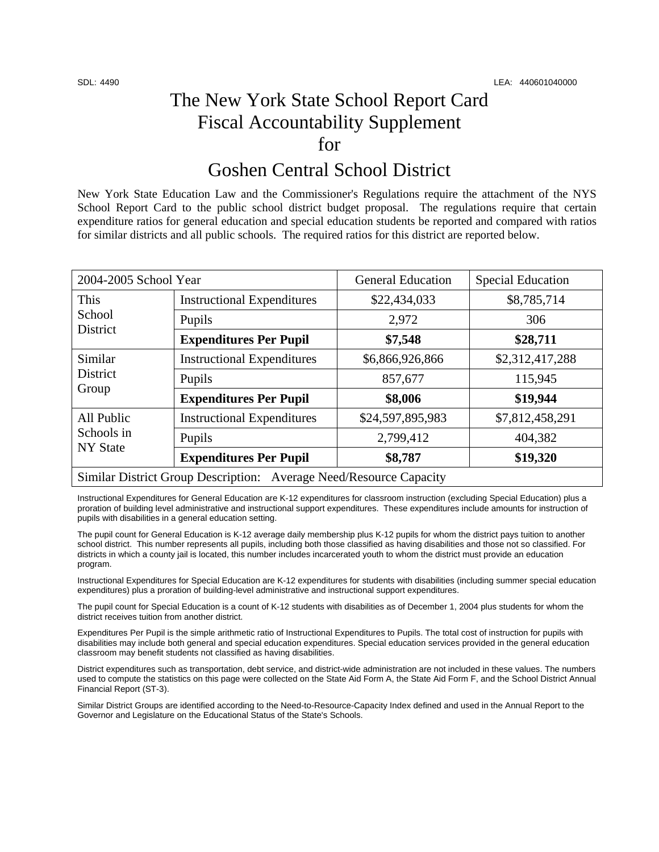## The New York State School Report Card Fiscal Accountability Supplement for

### Goshen Central School District

New York State Education Law and the Commissioner's Regulations require the attachment of the NYS School Report Card to the public school district budget proposal. The regulations require that certain expenditure ratios for general education and special education students be reported and compared with ratios for similar districts and all public schools. The required ratios for this district are reported below.

| 2004-2005 School Year                                              |                                   | <b>General Education</b> | <b>Special Education</b> |  |
|--------------------------------------------------------------------|-----------------------------------|--------------------------|--------------------------|--|
| This<br>School<br>District                                         | <b>Instructional Expenditures</b> | \$22,434,033             | \$8,785,714              |  |
|                                                                    | Pupils                            | 2,972                    | 306                      |  |
|                                                                    | <b>Expenditures Per Pupil</b>     | \$7,548                  | \$28,711                 |  |
| Similar<br>District<br>Group                                       | <b>Instructional Expenditures</b> | \$6,866,926,866          | \$2,312,417,288          |  |
|                                                                    | Pupils                            | 857,677                  | 115,945                  |  |
|                                                                    | <b>Expenditures Per Pupil</b>     | \$8,006                  | \$19,944                 |  |
| All Public<br>Schools in<br><b>NY</b> State                        | <b>Instructional Expenditures</b> | \$24,597,895,983         | \$7,812,458,291          |  |
|                                                                    | Pupils                            | 2,799,412                | 404,382                  |  |
|                                                                    | <b>Expenditures Per Pupil</b>     | \$8,787                  | \$19,320                 |  |
| Similar District Group Description: Average Need/Resource Capacity |                                   |                          |                          |  |

Instructional Expenditures for General Education are K-12 expenditures for classroom instruction (excluding Special Education) plus a proration of building level administrative and instructional support expenditures. These expenditures include amounts for instruction of pupils with disabilities in a general education setting.

The pupil count for General Education is K-12 average daily membership plus K-12 pupils for whom the district pays tuition to another school district. This number represents all pupils, including both those classified as having disabilities and those not so classified. For districts in which a county jail is located, this number includes incarcerated youth to whom the district must provide an education program.

Instructional Expenditures for Special Education are K-12 expenditures for students with disabilities (including summer special education expenditures) plus a proration of building-level administrative and instructional support expenditures.

The pupil count for Special Education is a count of K-12 students with disabilities as of December 1, 2004 plus students for whom the district receives tuition from another district.

Expenditures Per Pupil is the simple arithmetic ratio of Instructional Expenditures to Pupils. The total cost of instruction for pupils with disabilities may include both general and special education expenditures. Special education services provided in the general education classroom may benefit students not classified as having disabilities.

District expenditures such as transportation, debt service, and district-wide administration are not included in these values. The numbers used to compute the statistics on this page were collected on the State Aid Form A, the State Aid Form F, and the School District Annual Financial Report (ST-3).

Similar District Groups are identified according to the Need-to-Resource-Capacity Index defined and used in the Annual Report to the Governor and Legislature on the Educational Status of the State's Schools.